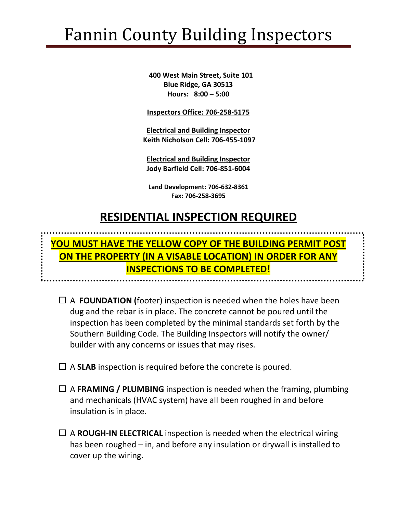## Fannin County Building Inspectors

 **400 West Main Street, Suite 101 Blue Ridge, GA 30513 Hours: 8:00 – 5:00**

**Inspectors Office: 706-258-5175**

**Electrical and Building Inspector Keith Nicholson Cell: 706-455-1097**

**Electrical and Building Inspector Jody Barfield Cell: 706-851-6004**

**Land Development: 706-632-8361 Fax: 706-258-3695**

## **RESIDENTIAL INSPECTION REQUIRED**

## **YOU MUST HAVE THE YELLOW COPY OF THE BUILDING PERMIT POST ON THE PROPERTY (IN A VISABLE LOCATION) IN ORDER FOR ANY INSPECTIONS TO BE COMPLETED!**

- $\Box$  A **FOUNDATION** (footer) inspection is needed when the holes have been dug and the rebar is in place. The concrete cannot be poured until the inspection has been completed by the minimal standards set forth by the Southern Building Code. The Building Inspectors will notify the owner/ builder with any concerns or issues that may rises.
- $\Box$  A **SLAB** inspection is required before the concrete is poured.
- A **FRAMING / PLUMBING** inspection is needed when the framing, plumbing and mechanicals (HVAC system) have all been roughed in and before insulation is in place.
- $\Box$  A **ROUGH-IN ELECTRICAL** inspection is needed when the electrical wiring has been roughed – in, and before any insulation or drywall is installed to cover up the wiring.